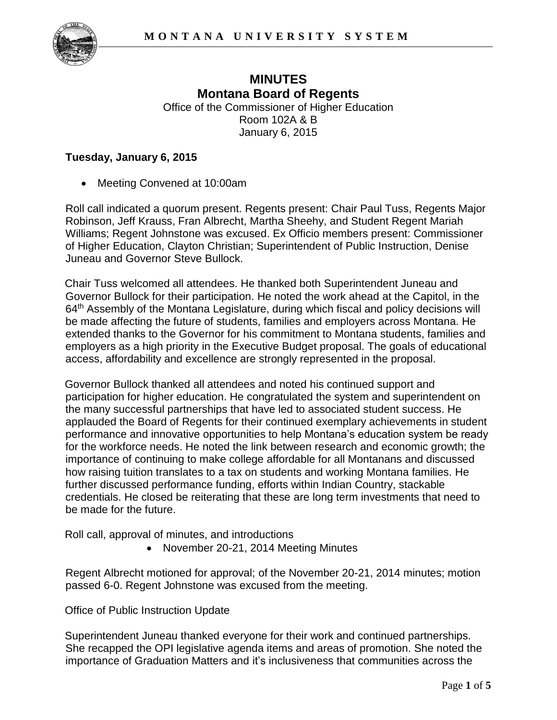

# **MINUTES Montana Board of Regents**  Office of the Commissioner of Higher Education

Room 102A & B January 6, 2015

## **Tuesday, January 6, 2015**

• Meeting Convened at 10:00am

Roll call indicated a quorum present. Regents present: Chair Paul Tuss, Regents Major Robinson, Jeff Krauss, Fran Albrecht, Martha Sheehy, and Student Regent Mariah Williams; Regent Johnstone was excused. Ex Officio members present: Commissioner of Higher Education, Clayton Christian; Superintendent of Public Instruction, Denise Juneau and Governor Steve Bullock.

Chair Tuss welcomed all attendees. He thanked both Superintendent Juneau and Governor Bullock for their participation. He noted the work ahead at the Capitol, in the 64<sup>th</sup> Assembly of the Montana Legislature, during which fiscal and policy decisions will be made affecting the future of students, families and employers across Montana. He extended thanks to the Governor for his commitment to Montana students, families and employers as a high priority in the Executive Budget proposal. The goals of educational access, affordability and excellence are strongly represented in the proposal.

Governor Bullock thanked all attendees and noted his continued support and participation for higher education. He congratulated the system and superintendent on the many successful partnerships that have led to associated student success. He applauded the Board of Regents for their continued exemplary achievements in student performance and innovative opportunities to help Montana's education system be ready for the workforce needs. He noted the link between research and economic growth; the importance of continuing to make college affordable for all Montanans and discussed how raising tuition translates to a tax on students and working Montana families. He further discussed performance funding, efforts within Indian Country, stackable credentials. He closed be reiterating that these are long term investments that need to be made for the future.

Roll call, approval of minutes, and introductions

• November 20-21, 2014 Meeting Minutes

Regent Albrecht motioned for approval; of the November 20-21, 2014 minutes; motion passed 6-0. Regent Johnstone was excused from the meeting.

Office of Public Instruction Update

Superintendent Juneau thanked everyone for their work and continued partnerships. She recapped the OPI legislative agenda items and areas of promotion. She noted the importance of Graduation Matters and it's inclusiveness that communities across the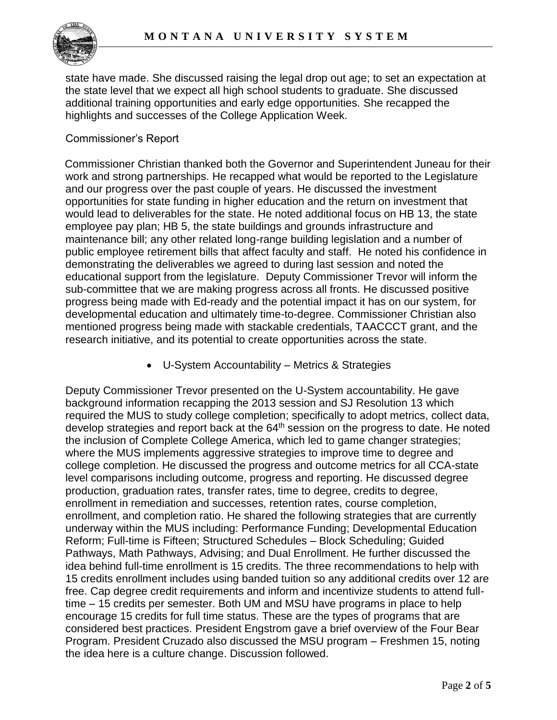state have made. She discussed raising the legal drop out age; to set an expectation at the state level that we expect all high school students to graduate. She discussed additional training opportunities and early edge opportunities. She recapped the highlights and successes of the College Application Week.

## Commissioner's Report

Commissioner Christian thanked both the Governor and Superintendent Juneau for their work and strong partnerships. He recapped what would be reported to the Legislature and our progress over the past couple of years. He discussed the investment opportunities for state funding in higher education and the return on investment that would lead to deliverables for the state. He noted additional focus on HB 13, the state employee pay plan; HB 5, the state buildings and grounds infrastructure and maintenance bill; any other related long-range building legislation and a number of public employee retirement bills that affect faculty and staff. He noted his confidence in demonstrating the deliverables we agreed to during last session and noted the educational support from the legislature. Deputy Commissioner Trevor will inform the sub-committee that we are making progress across all fronts. He discussed positive progress being made with Ed-ready and the potential impact it has on our system, for developmental education and ultimately time-to-degree. Commissioner Christian also mentioned progress being made with stackable credentials, TAACCCT grant, and the research initiative, and its potential to create opportunities across the state.

U-System Accountability – Metrics & Strategies

Deputy Commissioner Trevor presented on the U-System accountability. He gave background information recapping the 2013 session and SJ Resolution 13 which required the MUS to study college completion; specifically to adopt metrics, collect data, develop strategies and report back at the 64th session on the progress to date. He noted the inclusion of Complete College America, which led to game changer strategies; where the MUS implements aggressive strategies to improve time to degree and college completion. He discussed the progress and outcome metrics for all CCA-state level comparisons including outcome, progress and reporting. He discussed degree production, graduation rates, transfer rates, time to degree, credits to degree, enrollment in remediation and successes, retention rates, course completion, enrollment, and completion ratio. He shared the following strategies that are currently underway within the MUS including: Performance Funding; Developmental Education Reform; Full-time is Fifteen; Structured Schedules – Block Scheduling; Guided Pathways, Math Pathways, Advising; and Dual Enrollment. He further discussed the idea behind full-time enrollment is 15 credits. The three recommendations to help with 15 credits enrollment includes using banded tuition so any additional credits over 12 are free. Cap degree credit requirements and inform and incentivize students to attend fulltime – 15 credits per semester. Both UM and MSU have programs in place to help encourage 15 credits for full time status. These are the types of programs that are considered best practices. President Engstrom gave a brief overview of the Four Bear Program. President Cruzado also discussed the MSU program – Freshmen 15, noting the idea here is a culture change. Discussion followed.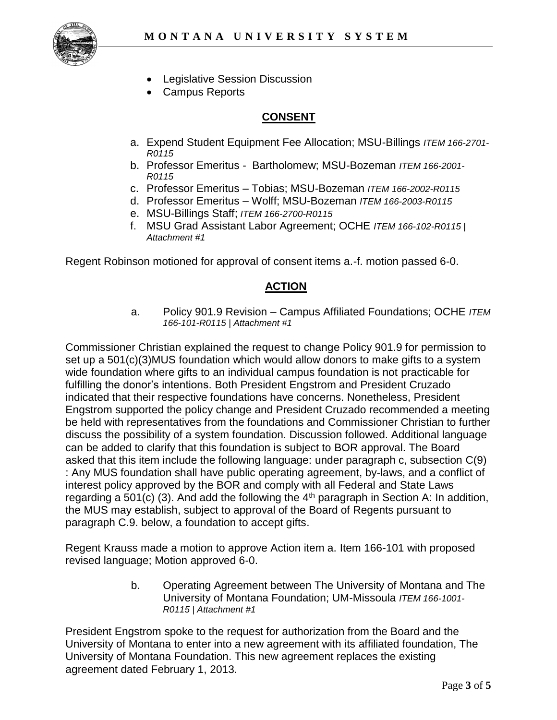

- Legislative Session Discussion
- Campus Reports

## **CONSENT**

- a. Expend Student Equipment Fee Allocation; MSU-Billings *ITEM 166-2701- R0115*
- b. Professor Emeritus Bartholomew; MSU-Bozeman *ITEM 166-2001- R0115*
- c. Professor Emeritus Tobias; MSU-Bozeman *ITEM 166-2002-R0115*
- d. Professor Emeritus Wolff; MSU-Bozeman *ITEM 166-2003-R0115*
- e. MSU-Billings Staff; *ITEM 166-2700-R0115*
- f. MSU Grad Assistant Labor Agreement; OCHE *ITEM 166-102-R0115 | Attachment #1*

Regent Robinson motioned for approval of consent items a.-f. motion passed 6-0.

## **ACTION**

a. Policy 901.9 Revision – Campus Affiliated Foundations; OCHE *ITEM 166-101-R0115 | Attachment #1*

Commissioner Christian explained the request to change Policy 901.9 for permission to set up a 501(c)(3)MUS foundation which would allow donors to make gifts to a system wide foundation where gifts to an individual campus foundation is not practicable for fulfilling the donor's intentions. Both President Engstrom and President Cruzado indicated that their respective foundations have concerns. Nonetheless, President Engstrom supported the policy change and President Cruzado recommended a meeting be held with representatives from the foundations and Commissioner Christian to further discuss the possibility of a system foundation. Discussion followed. Additional language can be added to clarify that this foundation is subject to BOR approval. The Board asked that this item include the following language: under paragraph c, subsection C(9) : Any MUS foundation shall have public operating agreement, by-laws, and a conflict of interest policy approved by the BOR and comply with all Federal and State Laws regarding a 501(c) (3). And add the following the  $4<sup>th</sup>$  paragraph in Section A: In addition, the MUS may establish, subject to approval of the Board of Regents pursuant to paragraph C.9. below, a foundation to accept gifts.

Regent Krauss made a motion to approve Action item a. Item 166-101 with proposed revised language; Motion approved 6-0.

> b. Operating Agreement between The University of Montana and The University of Montana Foundation; UM-Missoula *ITEM 166-1001- R0115 | Attachment #1*

President Engstrom spoke to the request for authorization from the Board and the University of Montana to enter into a new agreement with its affiliated foundation, The University of Montana Foundation. This new agreement replaces the existing agreement dated February 1, 2013.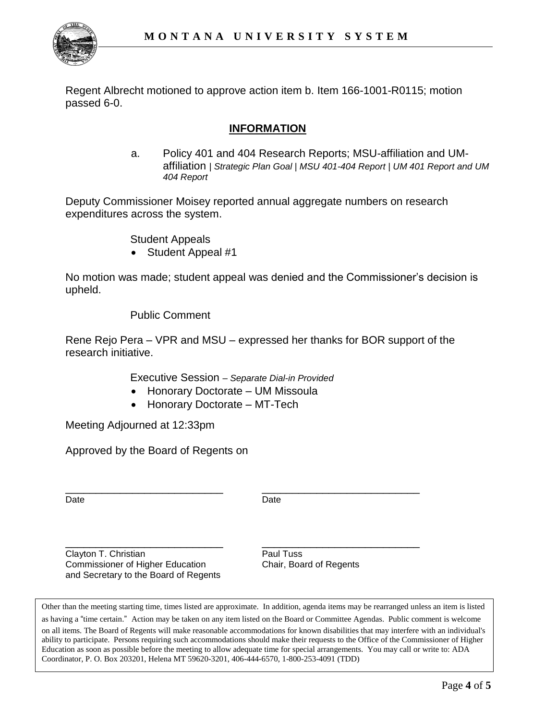

Regent Albrecht motioned to approve action item b. Item 166-1001-R0115; motion passed 6-0.

## **INFORMATION**

a. Policy 401 and 404 Research Reports; MSU-affiliation and UMaffiliation *| Strategic Plan Goal | MSU 401-404 Report | UM 401 Report and UM 404 Report*

Deputy Commissioner Moisey reported annual aggregate numbers on research expenditures across the system.

Student Appeals

Student Appeal #1

No motion was made; student appeal was denied and the Commissioner's decision is upheld.

Public Comment

Rene Rejo Pera – VPR and MSU – expressed her thanks for BOR support of the research initiative.

Executive Session *– Separate Dial-in Provided*

- Honorary Doctorate UM Missoula
- Honorary Doctorate MT-Tech

Meeting Adjourned at 12:33pm

Approved by the Board of Regents on

Date **Date Date** 

\_\_\_\_\_\_\_\_\_\_\_\_\_\_\_\_\_\_\_\_\_\_\_\_\_\_ \_\_\_\_\_\_\_\_\_\_\_\_\_\_\_\_\_\_\_\_\_\_\_\_\_\_

\_\_\_\_\_\_\_\_\_\_\_\_\_\_\_\_\_\_\_\_\_\_\_\_\_\_ \_\_\_\_\_\_\_\_\_\_\_\_\_\_\_\_\_\_\_\_\_\_\_\_\_\_ Clayton T. Christian **Paul Tuss** Commissioner of Higher Education Chair, Board of Regents and Secretary to the Board of Regents

as having a "time certain." Action may be taken on any item listed on the Board or Committee Agendas. Public comment is welcome on all items. The Board of Regents will make reasonable accommodations for known disabilities that may interfere with an individual's ability to participate. Persons requiring such accommodations should make their requests to the Office of the Commissioner of Higher Other than the meeting starting time, times listed are approximate. In addition, agenda items may be rearranged unless an item is listed Education as soon as possible before the meeting to allow adequate time for special arrangements. You may call or write to: ADA Coordinator, P. O. Box 203201, Helena MT 59620-3201, 406-444-6570, 1-800-253-4091 (TDD)